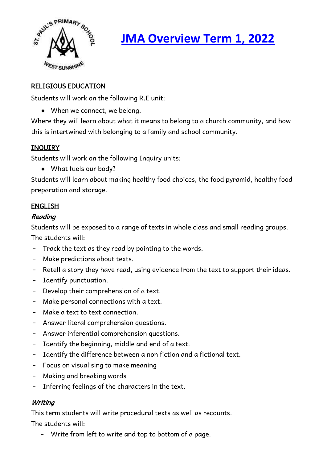

# **JMA Overview Term 1, 2022**

#### RELIGIOUS EDUCATION

Students will work on the following R.E unit:

• When we connect, we belong.

Where they will learn about what it means to belong to a church community, and how this is intertwined with belonging to a family and school community.

#### **INQUIRY**

Students will work on the following Inquiry units:

● What fuels our body?

Students will learn about making healthy food choices, the food pyramid, healthy food preparation and storage.

## ENGLISH

## Reading

Students will be exposed to a range of texts in whole class and small reading groups. The students will:

- Track the text as they read by pointing to the words.
- Make predictions about texts.
- Retell a story they have read, using evidence from the text to support their ideas.
- Identify punctuation.
- Develop their comprehension of a text.
- Make personal connections with a text.
- Make a text to text connection.
- Answer literal comprehension questions.
- Answer inferential comprehension questions.
- Identify the beginning, middle and end of a text.
- Identify the difference between a non fiction and a fictional text.
- Focus on visualising to make meaning
- Making and breaking words
- Inferring feelings of the characters in the text.

#### **Writing**

This term students will write procedural texts as well as recounts. The students will:

- Write from left to write and top to bottom of a page.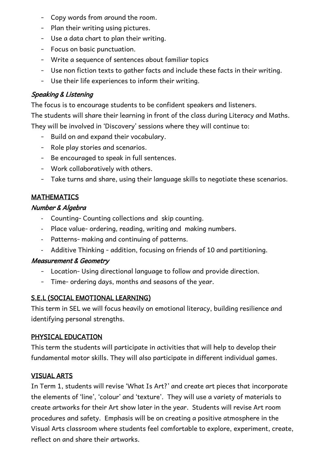- Copy words from around the room.
- Plan their writing using pictures.
- Use a data chart to plan their writing.
- Focus on basic punctuation.
- Write a sequence of sentences about familiar topics
- Use non fiction texts to gather facts and include these facts in their writing.
- Use their life experiences to inform their writing.

# Speaking & Listening

The focus is to encourage students to be confident speakers and listeners.

The students will share their learning in front of the class during Literacy and Maths. They will be involved in 'Discovery' sessions where they will continue to:

- Build on and expand their vocabulary.
- Role play stories and scenarios.
- Be encouraged to speak in full sentences.
- Work collaboratively with others.
- Take turns and share, using their language skills to negotiate these scenarios.

# MATHEMATICS

# Number & Algebra

- Counting- Counting collections and skip counting.
- Place value- ordering, reading, writing and making numbers.
- Patterns- making and continuing of patterns.
- Additive Thinking addition, focusing on friends of 10 and partitioning.

# Measurement & Geometry

- Location- Using directional language to follow and provide direction.
- Time- ordering days, months and seasons of the year.

# S.E.L (SOCIAL EMOTIONAL LEARNING)

This term in SEL we will focus heavily on emotional literacy, building resilience and identifying personal strengths.

# PHYSICAL EDUCATION

This term the students will participate in activities that will help to develop their fundamental motor skills. They will also participate in different individual games.

# VISUAL ARTS

In Term 1, students will revise 'What Is Art?' and create art pieces that incorporate the elements of 'line', 'colour' and 'texture'. They will use a variety of materials to create artworks for their Art show later in the year. Students will revise Art room procedures and safety. Emphasis will be on creating a positive atmosphere in the Visual Arts classroom where students feel comfortable to explore, experiment, create, reflect on and share their artworks.